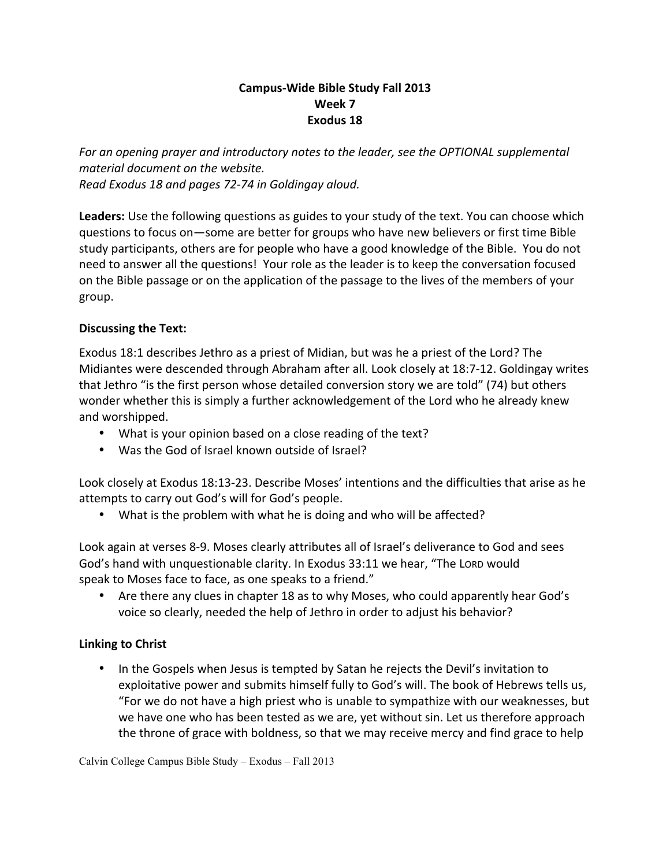## **Campus-Wide Bible Study Fall 2013 Week 7** Exodus 18

For an opening prayer and introductory notes to the leader, see the OPTIONAL supplemental *material document on the website. Read Exodus 18 and pages 72-74 in Goldingay aloud.*

Leaders: Use the following questions as guides to your study of the text. You can choose which questions to focus on—some are better for groups who have new believers or first time Bible study participants, others are for people who have a good knowledge of the Bible. You do not need to answer all the questions! Your role as the leader is to keep the conversation focused on the Bible passage or on the application of the passage to the lives of the members of your group. 

## **Discussing the Text:**

Exodus 18:1 describes Jethro as a priest of Midian, but was he a priest of the Lord? The Midiantes were descended through Abraham after all. Look closely at 18:7-12. Goldingay writes that Jethro "is the first person whose detailed conversion story we are told" (74) but others wonder whether this is simply a further acknowledgement of the Lord who he already knew and worshipped.

- What is your opinion based on a close reading of the text?
- Was the God of Israel known outside of Israel?

Look closely at Exodus 18:13-23. Describe Moses' intentions and the difficulties that arise as he attempts to carry out God's will for God's people.

• What is the problem with what he is doing and who will be affected?

Look again at verses 8-9. Moses clearly attributes all of Israel's deliverance to God and sees God's hand with unquestionable clarity. In Exodus 33:11 we hear, "The Lorp would speak to Moses face to face, as one speaks to a friend."

• Are there any clues in chapter 18 as to why Moses, who could apparently hear God's voice so clearly, needed the help of Jethro in order to adjust his behavior?

## **Linking to Christ**

• In the Gospels when Jesus is tempted by Satan he rejects the Devil's invitation to exploitative power and submits himself fully to God's will. The book of Hebrews tells us, "For we do not have a high priest who is unable to sympathize with our weaknesses, but we have one who has been tested as we are, yet without sin. Let us therefore approach the throne of grace with boldness, so that we may receive mercy and find grace to help

Calvin College Campus Bible Study – Exodus – Fall 2013